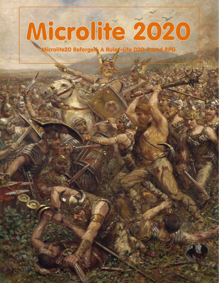# Microlite<br>Microlite20 Reforged: A Rules-Lite D20-Based RPG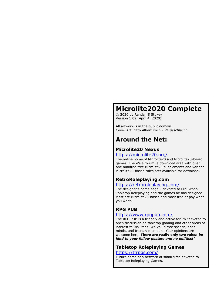## **Microlite2020 Complete**

© 2020 by Randall S Stukey Version 1.02 (April 4, 2020)

All artwork is in the public domain. Cover Art: Otto Albert Koch - *Varusschlacht*.

## **Around the Net:**

## **Microlite20 Nexus**

## <https://microlite20.org/>

The online home of Microlite20 and Microlite20-based games. There's a forum, a download area with over one hundred free Microlite20 supplements and variant Microlite20-based rules sets available for download.

## **RetroRoleplaying.com**

#### <https://retroroleplaying.com/>

The designer's home page – devoted to Old School Tabletop Roleplaying and the games he has designed Most are Microlite20-based and most free or pay what you want.

## **RPG PUB**

#### <https://www.rpgpub.com/>

The RPG PUB is a friendly and active forum "devoted to open discussion on tabletop gaming and other areas of interest to RPG fans. We value free speech, open minds, and friendly members. Your opinions are welcome here. **There are really only two rules:** *be kind to your fellow posters and no politics!*"

## **Tabletop Roleplaying Games**

#### <https://ttrpgs.com/>

Future home of a network of small sites devoted to Tabletop Roleplaying Games.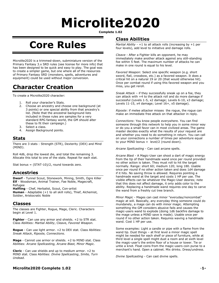# **Microlite2020**

**Complete 1.02**

## **Core Rules**

Microlite2020 is a trimmed-down, subminiature version of the Primary Fantasy 3.x SRD rules (see license for more info) that has been designed to be quick and easy to play. The goal was to create a simpler game, but one where all of the resources of Primary Fantasy SRD (monsters, spells, adventures and equipment) could be used without major conversion.

## **Character Creation**

To create a Microlite2020 character:

- 1. Roll your character's Stats.
- 2. Choose an ancestry and choose one background (at 3 points) or one special ability from that ancestry's list. (Note that the ancestral background lists included in these rules are samples for a very standard RPG fantasy world, the GM should alter these to fit their campaign.)
- 3. Select a class.
- 4. Assign Background points.

### **Stats**

There are 3 stats : Strength (STR), Dexterity (DEX) and Mind (MIND).

Roll 4d6, drop the lowest die, and total the remaining 3. Allocate this total to one of the stats. Repeat for each stat.

Stat bonus = (STAT-10)/2, round towards zero.

## **Ancestries**

**Dwarf** - Tunnel Scout, Stonework, Mining, Smith, Ogre Killer **Elf** - Woodsman, Animal Trainer, Fae Noble, Magecraft, Refugee

**Halfling** - Chef, Herbalist, Scout, Con-artist

**Human** - Adaptable (+1 to all skill rolls), Thief, Alchemist, Soldier, Aristocratic Noble

## **Classes**

The classes are Fighter, Rogue, Mage, Cleric. Characters begin at Level 1.

**Fighter** - Can use any armor and shields. +2 to STR stat. Class Abilities: *Martial Ability*, Cleave, *Favored Weapon.*

**Rogue** - Can use light armor. +2 to DEX stat. Class Abilities: *Sneak Attack*, *Riposte, Connections*.

**Mage** - Cannot use armor or shields. +2 to MIND stat. Class Abilities: *Arcane Spellcasting, Arcane Blast, Minor Magic.*

**Cleric** - Can use shields and up to medium armor. +2 to MIND stat. Class Abilities: *Divine Spellcasting*, *Smite, Turn Undead.*

## **Class Abilities**

*Martial Ability* - +1 to all attack rolls (increasing by +1 per four levels), add level to initiative and damage rolls.

*Cleave* - After a Fighter kills an opponent, he may immediately make another attack against any still-standing foe within 5 feet. The maximum number of attacks he can make in one round is equal to his level.

*Favored Weapon:* Select one specific weapon (e.g. short sword, flail, crossbow, etc.) as a favored weapon. It does a critical hit on a natural 19 or 20 (that would otherwise hit). Once per combat round if using this favored weapon and you miss, you get reroll.

*Sneak Attack* – if they successfully sneak up on a foe, they can attack with +4 to the attack roll and do more damage if successful (Levels 1-5, x2 damage; Levels 6-10, x3 damage; Levels 11-15, x4 damage; Level 16+, x5 damage).

*Riposte*: if melee attacker misses the rogue, the rogue can make an immediate free attack on that attacker in reply.

*Connections*: You know people everywhere. You can find someone through this network to help you in some minor way or do you a small favor can in most civilized areas. The game master decides exactly what the results of your request are and whether you need to do something in return. You can call on your connections a number of times per adventure equal to your MIND bonus + level/2 (round down).

*Arcane Spellcasting* - Can cast arcane spells.

*Arcane Blast* - A Magic-User can shoot a dart of magic energy from the tip of their handmade wand once per round provided no other action is taken. They must roll to hit the target normally. Range: short 60; medium 120; long 180. Usable once per round if no other action taken and does 1d4 damage if it hits. No saving throw is allowed. Requires pointing a handmade wand at the target and costs 1 HP per use. The visible effects can be whatever the Magic-User desires; note that this does not affect damage, it only adds color to the ability. Replacing a handmade wand requires one day to carve the wand from a freshly cut tree branch.

*Minor Magic* - Mages can cast minor "everyday/noncombat" magic at will. Basically, any everyday thing someone could do mundanely, a mage can do with minor magic. Attempting something the GM considers abusive fails and causes the magic-users wand to explode (doing 1d6 backfire damage to the mage unless a MIND save is made). Usable once per round if no other action taken. Requires waving a handmade wand. Cost 1 HP per use.

Some examples: Light a candle or pipe with a flame from the wand tip. Dust things – at first level a minor magic spell might be needed for each shelf or piece of furniture, while at third level a single spell might dust a room and at sixth level the magic-user's the entire floor of a house or tower. Tie or untie a knot. Float coins from the magic-users coin purse to a merchant's hand. Open a cabinet. Mix drinks. Dress/undress.

*Divine Spellcasting* - Can cast divine spells.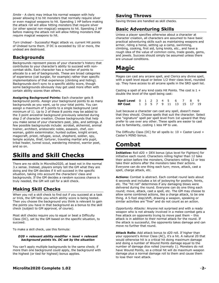*Smite* - A cleric may imbue his normal weapon with holy power allowing it to hit monsters that normally require silver or even magical weapons to hit. Spending 1 HP before making the attack roll will allow hitting monsters that require silver (or other special non-magical) weapons to hit. Spending 2 HP before making the attack roll will allow hitting monsters that require magical weapons to hit.

*Turn Undead* - Successful Magic attack vs. current Hit points of Undead turns them. If DC is exceeded by 10 or more, the undead are destroyed.

## **Backgrounds**

Backgrounds represent pieces of your character's history that contributes to your character's ability to succeed with noncombat skills. Each character has a number of points to allocate to a set of backgrounds. These are broad categories of experience (cat burglar, for example) rather than specific implementations of that experience (climbing and hiding). Backgrounds don't sync to a specific ability score, though some backgrounds obviously may get used more often with certain ability scores than others.

**Assigning Background Points:** Each character gets 8 background points. Assign your background points to as many backgrounds as you want, up to your total points. You can assign a maximum of 5 points to a single background (and minimum of 1). Up to 2 of these 8 points may be added to the 3 point ancestral background previously selected during step 2 of character creation. Choose backgrounds that help you make sense of your characters past, jobs, and settings. A few possible backgrounds include: acrobat, alchemist, animal trainer, architect, aristocratic noble, assassin, chef, conwoman, goblin exterminator, hunted outlaw, knight errant, magecraft, priest, refugee, scout, shepherd, soldier, spy, temple acolyte, thief, torturer, traveling martial arts pupil, tribal healer, tunnel scout, wandering minstrel, warrior poet, and so on.

## **Skills and Skill Checks**

There are no skills in Microlite2020, at least not in the normal 3.x sense. Instead, players simply tell the GM what they are doing and the GM decides if it will succeed in the specific situation, taking into account the characters' class and backgrounds. If the GM decides a random success chance is truly needed, the GM will call for a skill check.

## **Making Skill Checks**

When you roll a skill check to find out if you succeed at a task or trick, the GM tells you which ability score is being tested. Then you choose the background you think is relevant to gain the points you have in that background as a bonus to the skill check (subject to GM approval, of course).

Most skill checks require you to equal or beat a Difficulty Class (DC), set by the GM based on the specific situation, to succeed.

To make a skill check, use this formula:

#### *D20 + relevant ability modifier + level + relevant background points Vs. DC set by the situation*

You can't apply multiple backgrounds to the same check; if more than one background could apply, the background with the highest (or tied for highest) bonus applies.

## **Saving Throws**

Saving throws are handled as skill checks.

## **Basic Adventuring Skills**

Unless a player specifies otherwise about a character at character creation, all characters are assumed to have basic practical adventuring skills such as maintaining weapons and armor, riding a horse, setting up a camp, swimming, climbing, cooking, first aid, tying knots, etc., and have a rough idea of the value of *common* coins, trade goods, gems, and jewels. Success should simply be assumed unless there are unusual conditions.

## **Magic**

Mages can cast any arcane spell, and Clerics any divine spell, with a spell level equal or below 1/2 their class level, rounded up. They have access to all arcane spells in the SRD spell list.

Casting a spell of any kind costs Hit Points. The cost is  $1 +$ double the level of the spell being cast:

| <b>Spell Level</b> 0 1 2 3 4 5 6 7 8 9  |  |  |  |  |  |
|-----------------------------------------|--|--|--|--|--|
| <b>HP Cost</b> 1 3 5 7 9 11 13 15 17 19 |  |  |  |  |  |

Just because a character can cast any spell, doesn't mean that they should. Choose spells that suit the character. Select one "signature" spell per spell level from 1st upward that they prefer to use over any other. These spells are easier to cast due to familiarity, costing 1 less HP to use.

The Difficulty Class (DC) for all spells is:  $10 +$  Caster Level + Caster's MIND bonus.

## **Combat**

**Initiative:** Roll d20 + DEX bonus (plus level for Fighters) for initiative each round. Characters rolling higher than 12 take their action before the monsters, Characters rolling 12 or less take their actions after the monsters take their actions. Everyone can do one thing each turn; move, attack, cast a spell, charge attack, etc.

**Actions:** Combat is abstract. Each combat round lasts about 6 seconds and includes a lot of jockeying for position, feints, etc. The "hit roll" determines if any damaging blows were delivered during the round. Everyone can do one thing each round; move, attack, cast a spell, etc. The GM may choose to allow some combined actions, like a charge attack, to be one thing. A 5-foot step/shift, drawing a weapon, speaking or similar activities are "free" and do not count as an action.

*Opportunity Attacks:* Anyone not surprised and with a ready weapon who is not already involved in a melee combat gets a free attack on opponents trying to move past them – this attack is in addition to their normal attack for the round. If the attack is successful, the opponents takes damage and can move no further that round.

**Attack Rolls:** Add attack bonus to d20 roll. If higher than your opponent's Armor Class (AC), it's a hit. A natural 20 that would otherwise hit is a critical hit doing maximum damage and doing a number of Wound Points damage equal to the number of damage dice rolled (normally 1). Monsters do not have Wound Points, so a critical hit will do maximum weapon damage plus a normal damage roll to them and cause them to lose their next attack.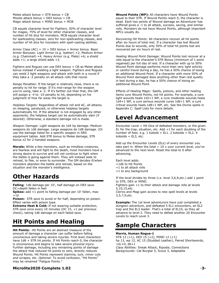Melee attack bonus =  $STR$  bonus +  $CB$ Missile attack bonus =  $DEX$  bonus +  $CB$ Magic attack bonus = MIND bonus + MCB

CB equals character level for Fighters, 50% of character level for mages, 75% of level for other character classes, and number of hit dice for monsters. MCB equals character level for spellcasting classes, zero for non-spellcasting classes, and number of hit dice for monsters with spell-casting abilities.

Armor Class  $(AC) = 10 + DEX$  bonus + Armor bonus. Basic Armor Bonuses: Light Armor (e.g. leather) +2, Medium Armor (e.g. Chainmail) +4, Heavy Armor (e.g. Plate) +6; a shield  $adds +1$ ; a large shield  $adds +2$ .

Fighters and Rogues can use DEX bonus + CB as Melee attack bonus instead if wielding a light weapon. Fighters and Rogues can wield 2 light weapons and attack with both in a round if they take a -2 penalty on all attack rolls that round.

*Range Penalties:* If the target is relatively close, there is no penalty to hit for range. If it's mid-range for the weapon you're using, take a -2. If it's farther out than that, the GM will assign a -4 to -10 penalty to hit, depending on his judgment of how far away the target is.

*Helpless Targets:* Regardless of attack roll and AC, all attacks on sleeping, paralyzed, or otherwise helpless targets automatically hit. If the attacker is not engaged by any other opponents, the helpless target can be automatically slain (if desired). Otherwise, a standard damage roll is made.

*Weapon Damage:* Light weapons do 1d4 hp damage. Medium weapons do 1d6 damage. Large weapons do 1d8 damage. (Or use the damage listed for a specific weapon in SRD equipment tables. Add STR bonus to Melee damage, STR bonus x2 for 2-handed weapons.

**Morale:** While a few monsters, such as mindless creatures, are fearless and will fight to the death, most monsters have a strong desire to survive and will not continue to fight when the battle is going against them. They will instead seek to retreat, to flee, or even to surrender. The GM decides if/when monsters abandon the battle and retreat, based on the situation and the monster's intelligence.

## **Other Hazards**

**Falling**: 1d6 damage per 10', half damage on DEX save. DC=depth fallen in feet

**Spikes:** add +1 point to falling damage per 10' fallen, max  $+10$ 

**Poison:** STR save to avoid or for half, depending on poison. Effect varies with poison type.

**Extreme Heat & Cold:** If not wearing suitable protection, STR save once every 10 minutes (DC 15, +1 per previous check), taking 1d6 damage on each failed save.

## **Hit Points and Healing**

**Hit Points:** Hit Points are an abstract measure of the amount of damage a character can suffer before falling unconscious and taking severe injuries. First level characters have 1d6 + STR hit points. If Hit Points reach 0, the character is unconscious and begins to take severe physical injury. Further damage, including any remaining points of damage the attack that reduced hit points to zero, directly reduces Wound Points. Hit Points represent stamina, luck, minor cuts and scrapes, etc. *Optional:* To avoid confusion, "Hit Points" may be renamed "Fatigue Points."

**Wound Points (WP):** All characters have Wound Points equal to their STR. If Wound Points reach 0, the character is dead. Each two points of Wound damage an Adventurer has suffered gives a -1 to all attack, success, saving, and similar rolls. Monsters do not have Wound Points, although important NPCs usually do.

*Recovering Hit Points:* All characters recover all hit points after six hours of total rest. If a character has lost Wound Points due to wounds, only 50% of total hit points lost are recovered per six hours of rest.

*Healing Wound Point Damage:* Wound Points lost recover at a rate equal to the character's STR Bonus (minimum of 1 point regained) per full day of rest. If a character with up to 50% Wound Point damage performs more than very light activity or careful travel during a day, he has a 50% chance of losing an additional Wound Point. If a character with more 50% of Wound Point damaged does anything other than rest quietly in bed during a day, he has a 50% chance of losing an additional Wound Point.

*Effects of Healing Magic:* Spells, potions, and other healing items cure Wound Points, not hit points. For example, a cure light wounds heals 1d2+1 WP, a cure moderate wounds heals 1d4+1 WP, a cure serious wounds cures 1d6+1 WP, a cure critical wounds heals 1d8+1 WP, etc. See the Divine spells in Appendix C: Spell Lists for more details.

## **Level Advancement**

Encounter Level = Hit Dice of defeated monsters, or the given EL for the trap, situation, etc. Add  $+1$  for each doubling of the number of foes. e.g. 1 kobold = EL1. 2 kobolds = EL2. 4 kobolds =  $EL3$ , etc.

Add up the Encounter Levels (ELs) of every encounter you take part in. When the total =  $10 \times$  your current level, you've advanced to the next level. Reset the total to 0 after advancing.

Each level adds: +1d6 to Hit Points +1 to all attack rolls +1 to any background

If the level divides by three (i.e. level 3,6,9,etc.) add 1 point to STR, DEX or MIND.

Fighters gain +1 to their attack and damage rolls at levels 5,10,15,etc.

Clerics and Magi gain access to new spell levels at levels 3,5,7,9,etc.

**Example:** The 1st level adventurers have just completed a dungeon adventure, and defeated 5 EL1 encounters, an EL2 trap and the EL3 leader. That's a total of EL10, so they all advance to level 2. They need to defeat another 20 Encounter Levels to reach Level 3.

## **Sample Characters**

#### **Morris, Human Rogue-1**

STR 12 (+1), DEX 15 (+2), MIND 12 (+1) hp 13, wp 12, AC 15 (Studded Leather), Paired Shortswords,  $+0/+0, d6+1$ *Class Abilities:* Sneak Attack, Riposte, Connections *Backgrounds:* Cat Burglar 5, Scout 3, Adaptable

#### **Microlite2020 Complete 1.02** -**3-**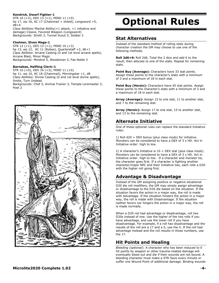#### **Kendrick, Dwarf Fighter-1**

STR 16 (+3), DEX 13 (+1), MIND 11 (+0) hp 17, wp 16, AC 17 (Chainmail + shield), Longsword +5, d8+4 *Class Abilities:* Martial Ability(+1 attack, +1 initiative and

damage) Cleave, Favored Weapon (Longsword) *Backgrounds:* Smith 3, Tunnel Scout 5, Soldier 2

#### **Cholmer, Elven Mage-1**

STR 12 (+1), DEX 13 (+1), MIND 16 (+3) hp 13, wp 12, AC 11 (Robes), Quarterstaff +2, d6+1 *Class Abilities*: Arcane Casting (0 and 1st level arcane spells), Arcane Blast, Minor Magic *Backgrounds*: Minstrel 5, Woodsman 3, Fae Noble 3

#### **Barnabas, Halfling Cleric-1**

STR 10 (+0), DEX 16 (+3), MIND 11 (+0) hp 11, wp 10, AC 18 (Chainmail), Morningstar +1, d8 *Class Abilities:* Divine Casting (0 and 1st level divine spells), Smite, Turn Undead *Backgrounds:* Chef 3, Animal Trainer 3, Temple Loremaster 3, Poet 2



# **Optional Rules**

## **Stat Alternatives**

Instead of the standard method of rolling stats during character creation the GM may choose to use one of the following methods.

**Roll 2d6+6:** Roll 2d6, Total the 2 dice and add 6 to the result, then allocate to one of the stats. Repeat for remaining stats.

**Point Buy (Average):** Characters have 33 stat points. Assign these points to the character's stats with a minimum of 3 and a maximum of 18 in each stat.

**Point Buy (Heroic):** Characters have 45 stat points. Assign these points to the character's stats with a minimum of 3 and a maximum of 18 in each stat.

**Array (Average):** Assign 15 to one stat, 11 to another stat, and 7 to the remaining stat.

**Array (Heroic):** Assign 17 to one stat, 15 to another stat, and 13 to the remaining stat.

## **Alternate Initiative**

One of these optional rules can replace the standard Initiative rules:

1) Roll d20 + DEX bonus (plus class mods) for initiative. Monsters can be considered to have a DEX of 3 x HD. Act in Initiative order: high to low.

2) A character's Initiative is  $10 + DEX$  stat (plus class mods). Monsters can be considered to have a DEX of 3 x HD. Act in Initiative order: high to low. If a character and monster tie, the character goes first. If a character is fighting another character/major NPC and their Initiative ties, each rolls a D20 with the higher roll going first.

## **Advantage & Disadvantage**

Instead of the GM assigning positive or negative situational D20 die roll modifiers, the GM may simply assign advantage or disadvantage to the D20 die based on the situation. If the situation favors the action in a major way, the roll is made with Advantage. If the situation hinders the action in a major way, the roll is made with Disadvantage. If the situation neither favors nor hingers the action in a major way, the roll is made normally.

When a D20 roll had advantage or disadvantage, roll two D20s instead of one. Use the higher of the two rolls if you have advantage, and use the lower roll if you have disadvantage. For example, if a roll has disadvantage and the results of the roll are a 17 and a 5, use the 5. If the roll had advantage instead and the roll results in those numbers, use the 17.

## **Hit Points and Healing**

*Bleeding (optional):* A character who has been reduced to 0 hit points by weapon or other trauma-related damage will eventually bleed out and die if their wounds are not bound. A bleeding character must make a STR Save every minute or suffer one Wound Point of additional damage. Binding wounds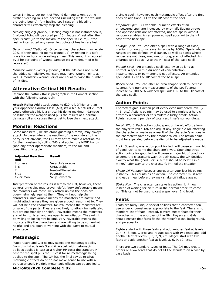takes 1 minute per point of Wound damage taken, but no further bleeding rolls are needed (including while the wounds are being bound). Any healing spell cast on a bleeding character will effectively stop the bleeding.

*Healing Magic (Optional):* Healing magic is not instantaneous, 1 Wound Point will be cured per 10 minutes of rest after the spell is cast (up to the maximum the spell will cure), if the rest in interrupted any remaining points of healing are lost.

*Second Wind (Optional):* Once per day, characters may regain 20% of their total hit points (round up) by resting in a safe place for an hour while eating a meal. This amount is reduced by 2 hp per point of Wound damage (to a minimum of 0 hp recovered).

*Monster Wound Points (Optional):* If the GM does not mind the added complexity, monsters may have Wound Points as well. A monster's Wound Points are equal to twice the number of hit dice.

## **Alternative Critical Hit Results**

Replace the "Attack Rolls" paragraph in the Combat section with the following paragraph:

**Attack Rolls:** Add attack bonus to d20 roll. If higher than your opponent's Armor Class (AC), it's a hit. A natural 20 that would otherwise hit is a critical hit doing maximum damage possible for the weapon used plus the results of a normal damage roll and causes the target to lose their next attack.

## **Monster Reactions**

Some monsters (like skeletons guarding a tomb) may always attack. In cases where the reaction of the monsters to the party is not obvious, the GM may opt to make a reaction roll for the monsters by rolling 2d6 and adding the MIND bonus (and any other appropriate modifiers) to the roll and consulting this table.

| <b>Adjusted Reaction</b> | <b>Result</b>     |
|--------------------------|-------------------|
| Roll                     |                   |
| 2 or less                | Very Unfavorable  |
| $3 - 6$                  | Unfavorable       |
|                          | Neutral/Uncertain |
| $8 - 11$                 | Favorable         |
| 12 or more               | Very Favorable    |

Interpretation of the results is left to the GM, however, these general principles may prove helpful. Very Unfavorable means the monsters will most likely attack unless the odds are overwhelmingly against them. They will not help the characters. Unfavorable means the monsters are hostile and might attack unless they are given a good reason not to. They will not help the characters. Neutral means the monsters are unsure of the party. They are not likely to attack immediately, but are not friendly or helpful. Favorable means the monsters are willing to listen and are open to negotiation. They might be willing to be slightly helpful. Very Favorable means the monsters like the characters and are willing to be somewhat helpful and are open to working with the party to mutual advantage.

## **Metamagic**

Magic-Users and Clerics may select one metamagic ability from this list at levels 3 and 6. A spell with metamagic abilities applied is cast at a higher HP cost: the standard HP cost for the spell plus the HP cost for all metamagic being applied to the spell. The GM has the final say as to what metamagic effects do or do not make sense to use with a particular spell. Multiple metamagic effects can be applied to

#### **Microlite2020 Complete 1.02** -**5-**

a single spell; however, each metamagic effect after the first adds an additional +1 to the HP cost of the spell.

*Empower Spell* - All variable, numeric effects of an empowered spell are increased by one-half. Saving throws and opposed rolls are not affected, nor are spells without random variables. An empowered spell adds +4 to the HP cost of the base spell.

*Enlarge Spell* - You can alter a spell with a range of close, medium, or long to increase its range by 100%. Spells whose ranges are not defined by distance, as well as spells whose ranges are not close, medium, or long, are not affected. An enlarged spell adds +2 to the HP cost of the base spell.

*Extend Spell* - An extended spell lasts twice as long as normal. A spell with a duration of concentration, instantaneous, or permanent is not affected. An extended spell adds +2 to the HP cost of the base spell.

*Widen Spell* - You can alter an area shaped spell to increase its area. Any numeric measurements of the spell's area increase by 100%. A widened spell adds +6 to the HP cost of the base spell.

## **Action Points**

Characters gain 1 action point every even numbered level (2, 4, 6, etc.) Actions points may be used to simulate a heroic effort by a character or to simulate a lucky break. Action Points recover 1 per day of total rest in safe surroundings.

*Heroic Effort:* Each action point spent on heroic effort allows the player to roll a 1d6 and adjust any single die roll affecting the character or made as a result of the character's actions in the character's favor by the amount rolled. The action point must be expended before the die roll to be adjusted is made.

*Luck:* Spending one action point for luck will cause a minor bit of good luck to come the character's way. Spending three action points for good luck will cause a major bit of good luck to come the character's way. In both cases, the GM decides exactly what the good luck is, but it should be helpful in a minor/major way to the character's immediate situation.

*Shake Off Fatigue:* Recover one-quarter your lost hit points instantly. This counts as an action. The character must rest and eat a meal before they may shake off fatigue again.

*Strike Now:* The character can take his action right now instead of waiting for his turn in the normal order to come up. This cannot be used to cast a spell over 2nd level.

#### **Feats**

Feats are fairly unique special abilities that a character can use under circumstances appropriate to the feat. There is no standard list of feats, instead, players create feats for their character with the approval of the GM. Players and GMs should ensure that feats fit the character's class, background, and personality.

Fighters start with three feats and add another feat at levels 2, 4, 6, 8, etc. Clerics and rogues start with two feats and add another feat at levels 3, 5, 7, 9, etc. Mages start with two feats and add another feat at levels 3, 6, 9, 12, etc..

There are two standard types of feats. The GM may create others or allow feats that do not fit the standard on a case by case basis.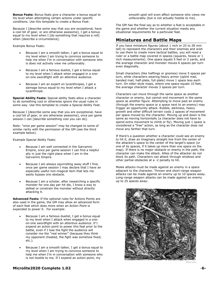**Bonus Feats:** Bonus feats give a character a bonus equal to his level when attempting certain actions under specific conditions. Use this template to create a Bonus Feat:

Because I [describe some way that you are exceptional, have a cool bit of gear, or are otherwise awesome], I get a bonus equal to my level when I [do something that requires a roll] when [describe a circumstance].

Example Bonus Feats:

- Because I am a smooth talker, I get a bonus equal to my level when I am trying to convince someone to help me when I'm in conversation with someone who is does not actively view me unfavorably.
- Because I am a famous duelist, I get a bonus equal to my level when I attack when engaged in a oneon-one swordfight with an attentive audience.
- Because I am an expert on lycanthropes, I get a damage bonus equal to my level when I attack a lycanthrope.

**Special Ability Feats:** Special ability feats allow a character to do something cool or otherwise ignore the usual rules in some way. Use this template to create a Special Ability Feat.

Because I [describe some way that you are exceptional, have a cool bit of gear, or are otherwise awesome], once per game session I can [describe something cool you can do].

Note: "once per game session" may be changed to some of similar rarity with the permission of the GM (see the third example below).

Example Special Ability Feats:

- Because I am well connected in the Garvannic Empire, once per game session I can find a helpful ally in just the right place when I am in the Garvannic Empire.
- Because I am always squirrelling away stuff I find, once per game session I may declare that I have an especially useful non-magical item that lets me easily bypass one obstacle.
- Because I am a scholar, after researching a specific monster for one day per hit die, I know a way to defeat or constrain the monster without directly attacking it.

**Advanced Feats:** If the optional rules for Actions Points are also used in the game, the GM may allow an advanced form of each feat which does more when an Action Point is expended to power it. For example:

- Because I am a famous duelist, I get a bonus equal to my level when I attack when engaged in a oneon-one swordfight with an attentive audience. If I expend an action point to power this feat prior to the battle, even if I lose the fight the audience will consider me the "real winner" (because they think my opponent cheated, the fight was somehow fixed, etc.).
- Because I am a smooth talker, I get a bonus equal to my level when I am trying to convince someone to help me when I'm in conversation with someone who is not hostile to me. If I expend an action point, my

**Microlite2020 Complete 1.02** -**6-**

smooth spiel will even affect someone who views me unfavorably (but is not actually hostile to me).

The GM has the final say as to whether a feat is acceptable in the game and whether the current situation meets any situational requirements for a particular feat.

## **Miniatures and Battle Maps**

If you have miniature figures (about 1 inch or 25 to 28 mm tall) to represent the characters and their enemies and wish to use them to create more tactical battles, you will need a ruler or a battle map covered in spaces (squares, hexes or 1 inch measurements). One space equals 5 feet or 2 yards, and the average character and monster moves 6 spaces per turn even diagonally.

Small characters (like halflings or gnomes) move 5 spaces per turn, while characters wearing heavy armor (splint mail, banded mail, half-plate, full plate) move 1 space less each turn. On older-style maps, where one space equals 10 feet, the average character moves 3 spaces per turn.

Characters can move through the same space as another character or enemy, but cannot end movement in the same space as another figure. Attempting to move past an enemy (through the enemy space or a space next to an enemy) may trigger an opportunity attack. Rubble, darkness, heavy growth and other difficult terrain costs 2 spaces of movement per space moved by the character. Moving up and down is the same as moving horizontally (a character does not have to spend extra movement to climb or fly). Moving just 1 space is considered a "free" action, as long as the character does not move any farther that turn.

If there's a question whether a character could see an enemy to hit it, draw an imaginary straight line from the center of the attacker's space to the center of the target's space (or one of its spaces, if it takes up more than one space on the map). If there is no major obstacle or enemy in the path, the character can make the attack. Allies of the attacker do not block its path. Characters can attack through windows and other partial obstacles at a -2 penalty to hit.

Melee attacks must be made against an enemy in a space adjacent to the character. Thrown and short-range weapon attacks can be made against an enemy up to 10 spaces away. Long-range weapon attacks can be made against an enemy up to 25 spaces away.

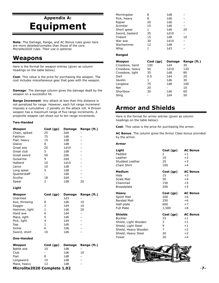## **Appendix A: Equipment**

**Note**: The Damage, Range, and AC Bonus rules given here are more detailed/complex than those of the core Microlite2020 rules. *Their use is optional.*

## **Weapons**

Here is the format for weapon entries (given as column headings on the table below).

**Cost**: This value is the price for purchasing the weapon. The cost includes miscellaneous gear that goes with the weapon.

**Damage**: The damage column gives the damage dealt by the weapon on a successful hit.

**Range Increment**: Any attack at less than this distance is not penalized for range. However, each full range increment imposes a cumulative –2 penalty on the attack roll. A thrown weapon has a maximum range of five range increments. A projectile weapon can shoot out to ten range increments.

#### **Two-Handed**

| Weapon        | Cost(qp) | Damage | Range (ft.) |
|---------------|----------|--------|-------------|
| Chain, spiked | 25       | 2d4    |             |
| Falchion      | 75       | 1d6    |             |
| Flail, heavy  | 15       | 1d8    |             |
| Glaive        | 8        | 1d8    |             |
| Great axe     | 20       | 1d10   |             |
| Great club    | 5        | 1d8    |             |
| Great sword   | 50       | 2d6    |             |
| Guisarme      | 9        | 2d4    |             |
| Halberd       | 10       | 1d10   |             |
| Lance         | 10       | 1d8    |             |
| Long spear    | 5        | 1d8    |             |
| Quarterstaff  |          | 1d6    |             |
| Scythe        | 18       | 2d4    |             |
| Spear         | 2        | 1d8    | 20          |

#### **Light**

| Weapon        | Cost (gp) | Damage | Range (ft.) |
|---------------|-----------|--------|-------------|
| Unarmed       |           | 1d3    |             |
| Axe, throwing | 8         | 1d6    | 10          |
| Dagger        | 2         | 1d4    | 10          |
| Hammer, light | 1         | 1d6    | 20          |
| Hand axe      | 6         | 1d4    |             |
| Mace, light   | 5         | 1d6    |             |
| Pick, light   | 4         | 1d4    |             |
| Sap           | 1         | 1d6    |             |
| Sickle        | 6         | 1d6    |             |
| Sword, short  | 10        | 1d6    |             |

#### **One-Handed**

| Weapon      | Cost(qp) | <b>Damage</b> | Range (ft.) |
|-------------|----------|---------------|-------------|
| Battle axe  | 10       | 1d8           |             |
| Club        |          | 1d6           | 10          |
| Flail       | 8        | 1d8           | -           |
| Longsword   | 15       | 1d8           |             |
| Mace, heavy | 12       | 1d8           |             |
|             |          |               |             |

| Morningstar    | 8  | 1d8  |    |
|----------------|----|------|----|
| Pick, heavy    | 8  | 1d6  |    |
| Rapier         | 20 | 1d6  |    |
| Scimitar       | 15 | 1d6  |    |
| Short spear    | 1  | 1d6  | 20 |
| Sword, bastard | 35 | 1d10 |    |
| Trident        | 15 | 1d8  | 10 |
| War axe        | 30 | 1d10 |    |
| Warhammer      | 12 | 1d8  |    |
| Whip           | 1  | 1d3  |    |
|                |    |      |    |

#### **Ranged**

| Weapon          | Cost(qp) | Damage          | Range (ft.) |
|-----------------|----------|-----------------|-------------|
| Crossbow, hand  | 100      | 1d4             | 30          |
| Crossbow, heavy | 50       | 1d10            | 120         |
| Crossbow, light | 35       | 1d8             | 80          |
| Dart            | 0.5      | 1 <sub>d4</sub> | 20          |
| Javelin         | 1        | 1d6             | 30          |
| Longbow         | 75       | 1d8             | 100         |
| Net             | 20       |                 | 10          |
| Shortbow        | 30       | 1d6             | 60          |
| Slina           |          | 1d4             | 50          |

## **Armor and Shields**

Here is the format for armor entries (given as column headings on the table below).

**Cost**: This value is the price for purchasing the armor.

**AC Bonus**: The column gives the Armor Class bonus provided by the armor.

#### **Armor**

| Light                | Cost (gp) | <b>AC Bonus</b> |
|----------------------|-----------|-----------------|
| Padded               | 2         | $+1$            |
| Leather              | 10        | $+2$            |
| Studded Leather      | 25        | $+3$            |
| Chain Shirt          | 100       | $+4$            |
| Medium               | Cost (gp) | <b>AC Bonus</b> |
| Hide                 | 15        | $+3$            |
| Scale Mail           | 50        | $+4$            |
| Chainmail            | 150       | $+5$            |
| <b>Breastplate</b>   | 200       | $+5$            |
| <b>Heavy</b>         | Cost(qp)  | <b>AC Bonus</b> |
| <b>Splint Mail</b>   | 200       | $+6$            |
| <b>Banded Mail</b>   | 250       | $+6$            |
| Half-plate           | 600       | $+7$            |
| <b>Full Plate</b>    | 1,500     | $+8$            |
| <b>Shields</b>       | Cost (gp) | <b>AC Bonus</b> |
| <b>Buckler</b>       | 15        | $+1$            |
| Shield, Light Wooden | 3         | $+1$            |
| Shield, Light Steel  | 9         | $+1$            |
| Shield, Heavy Wooden | 7         | $+2$            |
| Shield, Heavy Steel  | 20        | $+2$            |
| Tower                | 30        | $+4$            |



**Microlite2020 Complete 1.02** -**7-**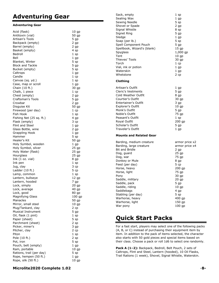## **Adventuring Gear**

#### **Adventuring Gear**

| Acid (flask)                              | $10$ gp         |
|-------------------------------------------|-----------------|
| Antitoxin (vial)                          | 50 gp           |
| Artisan's Tools                           | 5 gp            |
| Backpack (empty)<br>Barrel (empty)        | 2 gp<br>2 gp    |
| Basket (empty)                            | 4 sp            |
| Bedroll                                   | $1$ sp          |
| Bell                                      | $1$ gp          |
| Blanket, Winter                           | 5 sp            |
| <b>Block and Tackle</b>                   | $5$ gp          |
| Bucket (empty)                            | 5 sp            |
| Caltrops                                  | $1$ gp          |
| Candle                                    | $1$ cp          |
| Canvas (sq. yd.)                          | 1sp             |
| Case, map or scroll                       | $1$ gp          |
| Chain (10 ft.)                            | 30 gp           |
| Chalk, 1 piece                            | $1$ cp          |
| Chest (empty)                             | 2 gp            |
| Craftsman's Tools                         | 5 gp            |
| Crowbar                                   | 2 gp            |
| Disguise Kit                              | 50 gp           |
| Firewood (per day)                        | $1$ cp          |
| Fish Hook                                 | $1$ sp<br>4 gp  |
| Fishing Net (25 sq. ft.)<br>Flask (empty) | 3 cp            |
| Flint and Steel                           | $1$ gp          |
| Glass Bottle, wine                        | 2 gp            |
| <b>Grappling Hook</b>                     | $1$ gp          |
| Hammer                                    | 5 sp            |
| Healer's Kit                              | 50 gp           |
| Holy Symbol, wooden                       | 1 gp            |
| Holy Symbol, silver                       | 25 gp           |
| Holy Water (flask)                        | 25 gp           |
| Hourglass                                 | 25 gp           |
| Ink $(1 \text{ oz. vial})$                | 8 gp            |
| Ink pen                                   | 1 sp            |
| Jug, clay                                 | 3 cp            |
| Ladder $(10 ft.)$                         | 5 cp            |
| Lamp, common                              | $1$ sp          |
| Lantern, bullseye<br>Lantern, hooded      | 12 gp           |
| Lock, simply                              | 7 gp<br>20 gp   |
| Lock, average                             | 40 gp           |
| Lock, good                                | 80 gp           |
| <b>Magnifying Glass</b>                   | 100 gp          |
| Manacles                                  | 50 gp           |
| Mirror, small steel                       | 10 <sub>g</sub> |
| Mug/Tankard, clay                         | 2 cp            |
| <b>Musical Instrument</b>                 | 5 gp            |
| Oil, flask (1 pint)                       | $1$ sp          |
| Paper (sheet)                             | 5 sp            |
| Parchment (sheet)                         | 2 sp            |
| Picker, miner's                           | 3 gp            |
| Pitcher, clay                             | 2 cp            |
| Piton                                     | $1$ sp          |
| Pole (10 ft.)                             | 2 sp<br>5 sp    |
| Pot, iron<br>Pouch, belt (empty)          | 1 gp            |
| Ram, portable                             | 10 <sub>g</sub> |
| Rations, trail (per day)                  | 5 sp            |
| Rope, hempen (50 ft.)                     | $1$ gp          |
| Rope, silk (50 ft.)                       | $10$ gp         |
|                                           |                 |

| Sack, empty<br>Sealing Wax<br>Sewing Needle<br>Shovel or Spade<br>Signal Whistle<br>Signet Ring<br>Sledge<br>Soap (per lb.)<br>Spell Component Pouch<br>Spellbook, Wizard's (blank)<br>Spyglass<br>Tent<br>Thieves' Tools<br>Torch<br>Vial, ink or potion<br>Waterskin<br>Whetstone<br>Clothing                                | 1 sp<br>$1$ gp<br>5 sp<br>2 gp<br>8 sp<br>5 gp<br>$1$ gp<br>5 sp<br>5 gp<br>$15$ gp<br>$1,000$ gp<br>10 <sub>g</sub><br>30 gp<br>$1$ cp<br>$1$ gp<br>$1$ gp<br>$2$ cp                     |
|--------------------------------------------------------------------------------------------------------------------------------------------------------------------------------------------------------------------------------------------------------------------------------------------------------------------------------|-------------------------------------------------------------------------------------------------------------------------------------------------------------------------------------------|
| Artisan's Outfit                                                                                                                                                                                                                                                                                                               | 1 gp                                                                                                                                                                                      |
| <b>Cleric's Vestments</b><br><b>Cold Weather Outfit</b><br>Courtier's Outfit<br><b>Entertainer's Outfit</b><br>Explorer's Outfit<br>Monk's Outfit<br>Noble's Outfit<br>Peasant's Outfit<br>Royal Outfit<br>Scholar's Outfit<br>Traveler's Outfit                                                                               | 5 gp<br>8 gp<br>30 gp<br>3 gp<br>$10$ gp<br>$5$ gp<br>75 gp<br>$1$ sp<br>200 gp<br>5 gp<br>$1$ gp                                                                                         |
| <b>Mounts and Related Gear</b>                                                                                                                                                                                                                                                                                                 |                                                                                                                                                                                           |
| Barding, medium creature<br>Barding, large creature<br><b>Bit and Bridle</b><br>Dog, guard<br>Dog, war<br>Donkey or Mule<br>Feed (per day)<br>Horse, heavy<br>Horse, light<br>Pony<br>Saddle, military<br>Saddle, pack<br>Saddle, riding<br>Saddlebags<br>Stabling (per day)<br>Warhorse, heavy<br>Warhorse, light<br>War pony | armor price x2<br>armor price x4<br>2 gp<br>25 gp<br>75 gp<br>8 gp<br>5 cp<br>200 gp<br>75 gp<br>30 gp<br>20 gp<br>5 gp<br>10 <sub>gp</sub><br>4 gp<br>5 sp<br>400 gp<br>150 gp<br>100 gp |

## **Quick Start Packs**

For a fast start, players may select one of the following packs (A, B, or C) instead of purchasing their equipment item by item. In addition to the pack of items selected, the character also starts with 50 gold pieces and special items based on their class. Choose a pack or roll 1d6 to select one randomly.

**Pack A (1–2):** Backpack, Bedroll, Belt Pouch, 2 sets of Caltrops, Flint and Steel, Lantern (hooded), 10 Oil Flasks, Trail Rations (1 week), Shovel, Signal Whistle, Waterskin.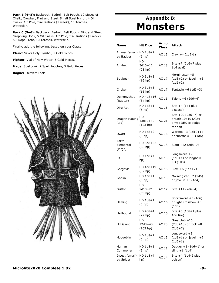**Pack B (4–5):** Backpack, Bedroll, Belt Pouch, 10 pieces of Chalk, Crowbar, Flint and Steel, Small Steel Mirror, 4 Oil Flasks, 10' Pole, Trail Rations (1 week), 10 Torches, Waterskin.

**Pack C (5***–***6):** Backpack, Bedroll, Belt Pouch, Flint and Steel, Grappling Hook, 5 Oil Flasks, 10' Pole, Trail Rations (1 week), 50' Rope, Tent, 10 Torches, Waterskin.

Finally, add the following, based on your Class:

**Cleric:** Silver Holy Symbol, 5 Gold Pieces.

**Fighter:** Vial of Holy Water, 5 Gold Pieces.

**Mage:** Spellbook, 2 Spell Pouches, 5 Gold Pieces.

**Rogue:** Thieves' Tools.



## **Appendix B: Monsters**

| <b>Name</b>                          | <b>Hit Dice</b>                      | Armor<br>Class | <b>Attack</b>                                                               |
|--------------------------------------|--------------------------------------|----------------|-----------------------------------------------------------------------------|
| Animal (small) HD 1d8+2<br>eg Badger | (6 hp)                               | AC 15          | Claw $+4$ (1d2-1)                                                           |
| Ankheg                               | HD<br>$3d10+12$<br>(28 hp)           | <b>AC 18</b>   | Bite $+7$ (2d6+7 plus<br>1d4 acid)                                          |
| <b>Bugbear</b>                       | HD 3d8+3<br>(16 hp)                  | AC 17          | Morningstar +5<br>$(1d8+2)$ or javelin +3<br>$(1d6+2)$                      |
| Choker                               | $HD$ 3d8+3<br>(16 hp)                | AC 17          | Tentacle $+6$ (1d3+3)                                                       |
| Deinonychus<br>(Raptor)              | HD 4d8+16<br>(34 hp)                 | AC 16          | Talons $+6$ (2d6+4)                                                         |
| Dire Rat                             | $HD$ 1d8+1<br>$(5$ hp)               | AC 15          | Bite $+4$ (1d4 plus<br>disease)                                             |
| Dragon (young<br>Red)                | HD<br>13d12+39<br>(123 hp)           | AC 21          | Bite $+20$ (2d6+7) or<br>breath 10d10 DC24<br>phys+DEX to dodge<br>for half |
| Dwarf                                | HD 1d8+2<br>$(6$ hp)                 | AC 16          | Waraxe $+3(1d10+1)$<br>or shortbow $+1$ (1d6)                               |
| Earth<br>Elemental<br>(large)        | HD 8d8+32<br>(68 <sub>hp</sub> )     | AC 18          | Slam $+12$ (2d8+7)                                                          |
| Elf                                  | HD 1d8 (4<br>hp)                     | AC 15          | Longsword +2<br>$(1d8+1)$ or longbow<br>$+3(1d8)$                           |
| Gargoyle                             | HD 4d8+19<br>(37 <sub>hp</sub> )     | AC 16          | Claw $+6(1d4+2)$                                                            |
| Goblin                               | HD 1d8+1<br>$(5$ hp)                 | AC 15          | Morningstar +2 (1d6)<br>or javelin $+3$ (1d4)                               |
| Griffon                              | HD<br>7d10+21<br>(59 <sub>hp</sub> ) | AC 17          | Bite $+11$ (2d6+4)                                                          |
| Halfling                             | HD 1d8+1<br>$(5$ hp)                 | AC 16          | Shortsword $+3$ (1d6)<br>or light crossbow $+3$<br>(1d6)                    |
| Hellhound                            | HD 4d8+4<br>(22 hp)                  | AC 16          | Bite $+5$ (1d8+1 plus<br>1d6 fire)                                          |
| <b>Hill Giant</b>                    | HD<br>12d8+48<br>(102 hp)            | <b>AC 20</b>   | Greatclub +16<br>$(2d8+10)$ or rock +8<br>$(2d6+7)$                         |
| Hobgoblin                            | $HD$ 1d8+2<br>(6 hp)                 | AC 15          | Longsword +2<br>$(1d8+1)$ or javelin +2<br>$(1d6+1)$                        |
| Human<br>Commoner                    | HD 1d8+1<br>$(5$ hp)                 | AC 12          | Dagger $+1$ (1d6+1) or<br>sling $+1$ (1d4)                                  |
| Insect (small)<br>eg Spider          | HD 1d8 (4<br>hp)                     | <b>AC 14</b>   | Bite +4 (1d4-2 plus<br>poison)                                              |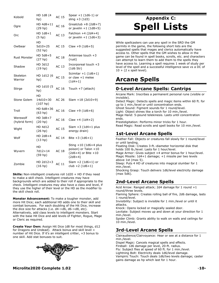| Kobold                    | HD 1d8 (4<br>hp)                       | <b>AC 15</b> | Spear $+1$ (1d6-1) or<br>sling $+3$ (1d3)                                             |
|---------------------------|----------------------------------------|--------------|---------------------------------------------------------------------------------------|
| Ogre                      | HD 4d8+11<br>(29 hp)                   | AC 16        | Greatclub $+8$ (2d8+7)<br>or javelin $+1$ (1d8+5)                                     |
| Orc                       | $HD$ $1d8+1$<br>$(5$ hp)               | AC 13        | Falchion $+4$ (2d4+4)<br>or javelin $+1$ (1d6+3)                                      |
| Owlbear                   | HD<br>$5d10+25$<br>(52 <sub>hp</sub> ) | <b>AC 15</b> | Claw +9 $(1d6+5)$                                                                     |
| <b>Rust Monster</b>       | $HD$ 5d8+5<br>(27 <sub>hp</sub> )      | <b>AC 18</b> | Antennae touch +3<br>(rust)                                                           |
| Shadow                    | HD 3d12<br>(19 hp)                     | AC 13        | Incorporeal touch +3<br>(1d6 Str)                                                     |
| Skeleton<br>Warrior       | HD 1d12 (6<br>hp)                      | <b>AC 15</b> | Scimitar $+1$ (1d6+1)<br>or claw $+1$ melee<br>$(1d4+1)$                              |
| Stirge                    | HD 1d10 (5<br>hp)                      | AC 16        | Touch $+7$ (attach)                                                                   |
| Stone Golem               | HD<br>14d10+30<br>(107 <sub>hp</sub> ) | AC 26        | $Slam +18(2d10+9)$                                                                    |
| Troll                     | HD 6d8+36<br>(63 <sub>hp</sub> )       | AC 16        | Claw +9 $(1d6+6)$                                                                     |
| Werewolf<br>(hybrid form) | HD 3d8+7<br>(20 hp)                    | AC 16        | Claw $+4(1d4+2)$                                                                      |
| Wight                     | HD 4d12<br>(26 hp)                     | AC 15        | Slam $+3$ (1d4+1 plus<br>energy drain)                                                |
| Wolf                      | $HD$ 2d8+4<br>(13 <sub>hp</sub> )      | AC 14        | Bite $+3(1d6+1)$                                                                      |
| Wyvern                    | HD<br>7d12+14<br>(59 <sub>hp</sub> )   | <b>AC 18</b> | Sting $+10$ (1d6+4 plus<br>poison) or Talon +10<br>$(2d6+4)$ or Bite +10<br>$(2d8+4)$ |
| Zombie                    | HD 2d12+3<br>(16 hp)                   | AC 11        | Slam $+2$ (1d6+1) or<br>$club + 2(1d6+1)$                                             |

**Skills:** Non-intelligent creatures roll 1d20 + HD if they need to make a skill check. Intelligent creatures may have backgrounds which are added to their roll if appropriate to the check. Intelligent creatures may also have a class and level, if they use the higher of their level or the HD as the modifier to the skill check roll.

**Monster Advancement:** To make a tougher monster, add more Hit Dice; each additional HD adds one to their skill and combat bonuses. For each doubling of the Hit Dice, increase the dice size for attacks (i.e. d4->d6, d6->d8, etc). Alternatively, add class levels to intelligent monsters. Start with the base Hit Dice and add levels of Fighter, Rogue, Mage or Cleric as required.

**Create Your Own:** Assign Hit Dice (d8 for most things, d12 for Dragons and Undead). Attack bonus and skill level = number of Hit Dice. If it's an intelligent critter, +3 bonus to one skill. Add stat bonuses to suit.



## **Appendix C: Spell Lists**

While spellcasters can use any spell in the SRD the GM permits in the game, the following short lists are the suggested spells that mages and clerics automatically have access to. Other spells that the GM wishes to allow in the game can be found in spell books, scrolls, etc. and characters can attempt to learn them to add them to the spells they have access to. Learning a spell requires 1 week of study per level of the spell and a successful intelligence save vs a DC of  $10 + (2 \times$  spell level).

## **Arcane Spells**

## **0-Level Arcane Spells: Cantrips**

Arcane Mark: Inscribes a permanent personal rune (visible or invisible). Detect Magic: Detects spells and magic items within 60 ft. for

up to 1 min./level or until concentration ends. Ghost Sound: Figment sounds for 1 round/level. Light: Object shines like a torch for 10 min./level. Mage Hand: 5-pound telekinesis. Lasts until concentration

ends. Prestidigitation: Performs minor tricks for 1 hour. Read Magic: Read scrolls and spell books for 10 min./level.

## **1st-Level Arcane Spells**

Feather Fall: Objects or creatures fall slowly for 1 round/level or until landing.

Floating Disk: Creates 3-ft.-diameter horizontal disk that holds 100 lb./level. Lasts for 1 hour/level.

Mage Armor: Gives subject +4 armor bonus for 1 hour/level. Magic Missile: 1d4+1 damage; +1 missile per two levels above 1st (max 5).

Sleep: Puts 4 HD of creatures into magical slumber for 1 min./level.

Shocking Grasp: Touch delivers 1d6/level electricity damage (max 5d6).

## **2nd-Level Arcane Spells**

Acid Arrow: Ranged attack; 2d4 damage for 1 round +1 round/three levels.

Flaming Sphere: Creates rolling ball of fire, 2d6 damage, lasts 1 round/level.

Invisibility: Subject is invisible for 1 min./level or until it attacks.

Knock: Opens locked or magically sealed door.

Levitate: Subject moves up and down at your direction for 1 min./level.

Spider Climb: Grants ability to walk on walls and ceilings for 10 min./level.

## **3rd-Level Arcane Spells**

Clairaudience/Clairvoyance: Hear or see at a distance for 1 min./level.

Dispel Magic: Cancels magical spells and effects.

Fireball: 1d6 damage per level, 20-ft. radius. Fly: Subject flies at speed of 60 ft. for 1 min./level. Lightning Bolt: Electricity deals 1d6/level damage. Vampiric Touch: Touch deals 1d6/two levels damage; caster gains damage as hp which last for 1 hour.

**Microlite2020 Complete 1.02** -**10-**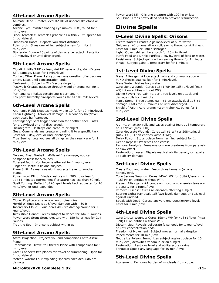## **4th-Level Arcane Spells**

Animate Dead: Creates level X2 HD of undead skeletons or zombies.

Arcane Eye: Invisible floating eye moves 30 ft./round for 1 min./level.

Black Tentacles: Tentacles grapple all within 20 ft. spread for 1 round/level.

Dimension Door: Teleports you short distance.

Polymorph: Gives one willing subject a new form for 1 min./level.

Stoneskin: Ignore 10 points of damage per attack. Lasts for 10 min./level or until discharged.

## **5th-Level Arcane Spells**

Cloudkill: Kills 3 HD or less; 4-6 HD save or die, 6+ HD take STR damage. Lasts for 1 min./level.

Contact Other Plane: Lets you ask one question of extraplanar entity. Lasts until concentration ends.

Feeblemind: Subject's MIND score drops to 1.

Passwall: Creates passage through wood or stone wall for 1 hour/level.

Permanency: Makes certain spells permanent. Teleport: Instantly transports you as far as 100 miles/level.

## **6th-Level Arcane Spells**

Antimagic Field: Negates magic within 10 ft. for 10 min./level. Chain Lightning: 1d6/level damage; 1 secondary bolt/level each deals half damage.

Contingency: Sets trigger condition for another spell. Lasts for 1 day/level or until discharged.

Disintegrate: Destroys one creature or object.

Geas: Commands any creature, binding it to a specific task. Lasts for 1 day/level or until discharged.

True Seeing: Lets you see all things as they really are for 1 min./level.

## **7th-Level Arcane Spells**

Delayed Blast Fireball: 1d6/level fire damage; you can postpone blast for 5 rounds.

Ethereal Jaunt: You become ethereal for 1 round/level. Finger of Death: Kills one subject.

Plane Shift: As many as eight subjects travel to another plane.

Power Word Blind: Blinds creature with 200 hp or less for 1d4+1 minutes (permanent if creature has less than 50 hp). Spell Turning: Reflect 1d4+6 spell levels back at caster for 10 min./level or until expended.

## **8th-Level Arcane Spells**

Clone: Duplicate awakens when original dies. Horrid Wilting: Deals 1d6/level damage within 30 ft. Incendiary Cloud: Cloud deals 4d6 fire damage/round for 1 round/level.

Irresistible Dance: Forces subject to dance for 1d4+1 rounds. Power Word Stun: Stuns creature with 150 hp or less for 2d4 rounds.

Trap the Soul: Imprisons subject within gem.

## **9th-Level Arcane Spells**

Astral Projection: Projects you and companions onto Astral Plane.

Etherealness: Travel to Ethereal Plane with companions for 1 min./level.

Gate: Connects two planes for travel or summoning. Open for 1 round/level.

Meteor Swarm: Four exploding spheres each deal 6d6 fire damage.

#### **Microlite2020 Complete 1.02** -**11-**

Power Word Kill: Kills one creature with 100 hp or less. Soul Bind: Traps newly dead soul to prevent resurrection.

## **Divine Spells**

## **0-Level Divine Spells: Orisons**

Create Water: Creates 2 gallons/level of pure water. Guidance: +1 on one attack roll, saving throw, or skill check. Lasts for 1 min. or until discharged.

Light: Object shines like a torch for 10 min./level. Purify Food and Drink: Purifies 1 cu. ft./level of food or water. Resistance: Subject gains +1 on saving throws for 1 minute. Virtue: Subject gains 1 temporary hp for 1 minute.

## **1st-Level Divine Spells**

Bless: Allies gain +1 on attack rolls and communication + MIND checks against fear for 1 min./level. Bless Water: Makes holy water. Cure Light Wounds: Cures 1d2+1 WP (or 1d8+1/level (max +5) HP on entities without WP). Divine Favor: You gain +1 per three levels on attack and damage rolls for 1 minute. Magic Stone: Three stones gain  $+1$  on attack, deal  $1d6 + 1$ damage. Lasts for 30 minutes or until discharged. Shield of Faith: Aura grants +2 or higher AC bonus for 1 min./level.

## **2nd-Level Divine Spells**

Aid: +1 on attack rolls and saves against fear, 1d8 temporary hp  $+1$ /level (max  $+10$ ).

Cure Moderate Wounds: Cures 1d4+1 WP (or 2d8+1/level (max +10) HP on entities without WP).

Delay Poison: Stops poison from harming subject for 1. Gentle Repose: Preserves one corpse.

Remove Paralysis: Frees one or more creatures from paralysis or slow effect.

Restoration, Lesser: Dispels magical ability penalty or repairs 1d4 ability damage.

## **3rd-Level Divine Spells**

Create Food and Water: Feeds three humans (or one horse)/level. Cure Serious Wounds: Cures 1d6+1 WP (or 3d8+1/level (max +15) HP on entities without WP).

Prayer: Allies get a +1 bonus on most rolls, enemies take a – 1 penalty for 1 round/level.

Remove Disease: Cures all diseases affecting subject.

Searing Light: Ray deals 1d8/two levels damage, or 1d8/level against undead.

Speak with Dead: Corpse answers one question/two levels. Lasts for 1 min./level.

## **4th-Level Divine Spells**

Cure Critical Wounds: Cures 1d8+1 WP (or 4d8+1/level (max +20) HP on entities without WP). Discern Lies: Reveals deliberate falsehoods for 1 round/level or until concentration ends. Freedom of Movement: Subject moves normally despite impediments for 10 min./level. Neutralize Poison: Immunizes subject against poison for 10 min./level, detoxifies venom in or on subject. Restoration: Restores level and ability score drains. Tongues: Speak any language for 10 min./level.

## **5th-Level Divine Spells**

Atonement: Removes burden of misdeeds from subject.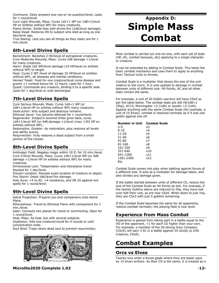Commune: Deity answers one yes-or-no question/level. Lasts for 1 round/level

Cure Light Wounds, Mass: Cures 1d2+1 WP (or 1d8+1/level HP on entities without WP) for many creatures.

Flame Strike: Smite foes with divine fire (1d6/level damage). Raise Dead: Restores life to subject who died as long as one day/level ago.

True Seeing: Lets you see all things as they really are for 1 min./level.

## **6th-Level Divine Spells**

Banishment: Banishes 2 HD/level of extraplanar creatures. Cure Moderate Wounds, Mass: Cures 2d8 damage +1/level for many creatures.

Harm: Deals 1d2 WP/level damage (10 HP/level on entities without WP) to target .

Heal: Cures 2 WP /level of damage 10 HP/level on entities without WP), all diseases and mental conditions.

Heroes' Feast: Food for one creature/level cures disease and grants +1 combat bonus for 12 hours. Lasts for 1 hour. Quest: Commands any creature, binding it to a specific task. Lasts for 1 day/level or until discharged.

## **7th-Level Divine Spells**

Cure Serious Wounds, Mass: Cures 1d4+1 WP (or 2d8+1/level HP on entities without WP) many creatures. Destruction: Kills subject and destroys remains. Ethereal Jaunt: You become ethereal for 1 round/level. Regenerate: Subject's severed limbs grow back, cures  $1d4+1$ /level WP (or 4d8 damage  $+1$ /level (max  $+35$ ) HP on

entities without WP).. Restoration, Greater: As restoration, plus restores all levels and ability scores.

Resurrection: Fully restores a dead subject from a small portion of the corpse.

## **8th-Level Divine Spells**

Antimagic Field: Negates magic within 10 ft. for 10 min./level. Cure Critical Wounds, Mass: Cures 1d6+1/level WP (or 4d8 damage +1/level HP on entities without WP) for many creatures.

Dimensional Lock: Teleportation and interplanar travel blocked for 1 day/level.

Discern Location: Reveals exact location of creature or object. Fire Storm: Deals 1d6/level fire damage.

Holy Aura: +4 to AC, +4 resistance, and SR 25 against evil spells for 1 round/level.

## **9th-Level Divine Spells**

Astral Projection: Projects you and companions onto Astral Plane.

Etherealness: Travel to Ethereal Plane with companions for 1 min./level.

Gate: Connects two planes for travel or summoning. Open for 1 round/level.

Heal, Mass: As heal, but with several subjects.

Implosion: Kills one creature/round for 4 rounds or until concentration ends.

Soul Bind: Traps newly dead soul to prevent resurrection.



#### **Microlite2020 Complete 1.02** -**12-**

## **Appendix D: Simple Mass Combat**

Most combat is carried out one-on-one, with each set of stats (HP, AC, combat bonuses, etc) applying to a single character or creature.

It can be extended by adding in Combat Scale. This takes the basic combat mechanics and uses them to apply to anything from Tactical Units to Armies.

Combat Scale is a multiplier that shows the size of the unit relative to the norm. It is only applied to damage in combat between units of different size. Hit Points, AC and all other stats remain the same.

For example, a unit of 20 Goblin warriors will have CSx5 as per the table below. The combat stats are still HD1d8+1  $(5hp)$ , AC15, Morningstar  $+2$  (1d6) or Javelin  $+3$  (1d4). Against anything with the same Combat Scale (for example, a unit of 15 Elves), combat is resolved normally as if it was one goblin against one elf.

#### **Number in Unit Combat Scale**

| 2-5       | xЗ  |
|-----------|-----|
| 6-10      | x4  |
| 11-20     | x5  |
| $21 - 40$ | х6  |
| 41-80     | x7  |
| 81-160    | x8  |
| 161-320   | x9  |
| 321-640   | x10 |
| 641-1280  | x11 |
| 1281-2560 | x12 |
| Etc.      |     |

Combat Scale comes into play when battling against forces of a different size. It acts as a multiplier for damage taken, and also divides any damage given.

If the battle started between units of different CS, reduce the size of the Combat Scale as Hit Points as lost. For example, if the twenty Goblins above are reduced to 2hp, they have lost over half their unit, so are now CSx4. When down to just 1hp, they are CSx3 with just 5 goblins remaining.

If the Combat Scale becomes the same for all opponents, resolve combat normally; the playing field is now level.

## **Experience from Mass Combat**

Experience is gained from taking part in a battle equal to the HD of the opponent, +1 for each CS higher than your own. For example, a member of the 20-strong Grey Company (CSx5) will earn 3 EL in a battle against 35 Gnolls (a 2HD creature, CSx6).

## **Combat Examples**

#### **Orcs vs Elves**

Twenty orcs enter a forest glade where they are beset upon by 15 elven archers. As their CS is the same, it is treated as a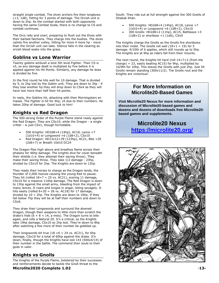straight single combat. The elven archers fire their longbows (+3, 1d8), hitting for 3 points of damage. The Orcish unit is down to 2hp. As the combat started with both opponents having the same Combat Scale, there is no change to CS and combat continues.

The Orcs rally and snarl, preparing to flush out the Elves with their barbed falchions. They charge into the bushes. The elves calmly fire another volley, hitting for more 4 more hp - more than the Orcish unit can take. Silence falls in the clearing as orcish blood soaks into the grass.

## **Goblins vs Lone Warrior**

Twenty goblins ambush a lone 5th level Fighter. Their CS is x5, so any damage dealt is multiplied by five before it is applied against his Hit Points. Similarly, any damage he does is divided by five.

In the first round he hits well for 10 damage. That is divided by 5, to 2hp lost by the Goblin unit; They are down to 3hp - if they lose another hp they will drop down to CSx4 as they will have lost more than half their hit points.

In reply, the Goblins hit, attacking with their Morningstars en masse. The Fighter is hit for 4hp, x5 due to their numbers. He takes 20hp of damage. Good luck to him!

## **Knights vs Red Dragon**

The 500-strong Order of the Purple Flame stand ready against the Red Dragon. They are CSx10, while the Dragon - a single critter - is just CSx1, though formidable.

- 500 Knights: HD2d8+4 (14hp), AC18, Lance +7 (1d10+4) or Longsword +6 (1d8+2), CSx10
- Red Dragon: HD13x12+39 (123hp), AC21, Bite +20 (2d6+7) or Breath 10d10 DC24

The Dragon flies high above and breathes flame across their phalanx for 46hp damage. The knights dive for cover beneath their shields (i.e. they attempt their saving throw). They make their saving throw. They take 1/2 damage - 23hp, divided by CSx10 for 2hp. The Knights are down to 12hp.

They ready their horses to charge as the Dragon lands, the thunder of 2,000 hooves causing the young Red to pause. They hit (rolled  $18+7 = 25$  vs. AC21), scoring 11 damage, CSx10 for a massive 110hp damage. The Red Dragon is down to 13hp against the small army, bleeding from the impact of many lances. It roars and lunges in anger, biting savagely. It hits easily (rolled  $6+20 = 26$  vs. AC18) for 17 damage, divided by 10 = 2hp. The Knights are down to 10hp. If they fall below 7hp they will be at half their numbers and down to CSx9.

They draw their Longswords and surround the downed Dragon, though their weapons to little more than scratch the drake's hide  $(6 + 8 = 14, a \text{ miss})$ . The Dragon turns to bite again, and rolls a Natural 20. It's a critical, so the Knights take 19hp damage, CSx10 so 2hp lost. They're down to 8hp after watching a few more of their number be gobbled up.

Their longswords bit true (18 +6 = 24 vs. AC21), for 6hp damage, CSx10 for a total of 60hp against the drake. It's down, finally, though the Knights have lost 143 (500x4/14) of their number in the battle. The commend their souls to their gods in valor.

## **Knights vs Gnolls**

The Knights of the Purple Flame, bolstered by their successes and reinforcements decide to tackle the Gnoll threat to the

**Microlite2020 Complete 1.02** -**13-**

South. They ride out at full strength against the 300 Gnolls of Ghakak Khan.

- 500 Knights: HD2d8+4 (14hp), AC18, Lance +7 (1d10+4) or Longsword +6 (1d8+2), CSx10
- 300 Gnolls: HD2d8+2 (11hp), AC15, Battleaxe +3  $(1d8+2)$  or shortbow  $+1$   $(1d6)$ , CSx9

The Knights charge the Gnolls as the Gnolls fire shortbows into their midst. The Gnolls roll well  $(18+1 = 19)$  for 5 damage. 9/10th of it applies, which still rounds up to 5hp. The Knights are at 9hp as riders fall from their mounts.

The next round, the Knights hit hard (roll 14+7+2 (from the charge) = 23, easily beating AC15) for 9hp, multiplied by 10/9th for 10hp. This leaves the Gnolls with just 2hp. Just 54 Gnolls remain standing (300x11/2). The Gnolls rout and the Knights are victorious!

## **For More Information on Microlite20-Based Games**

**Visit Microlite20 Nexus for more information and discussion of Microlite20-based games and dozens and dozens of downloads free Microlite20 based games and supplements.** 

## **Microlite20 Nexus <https://microlite20.org/>**